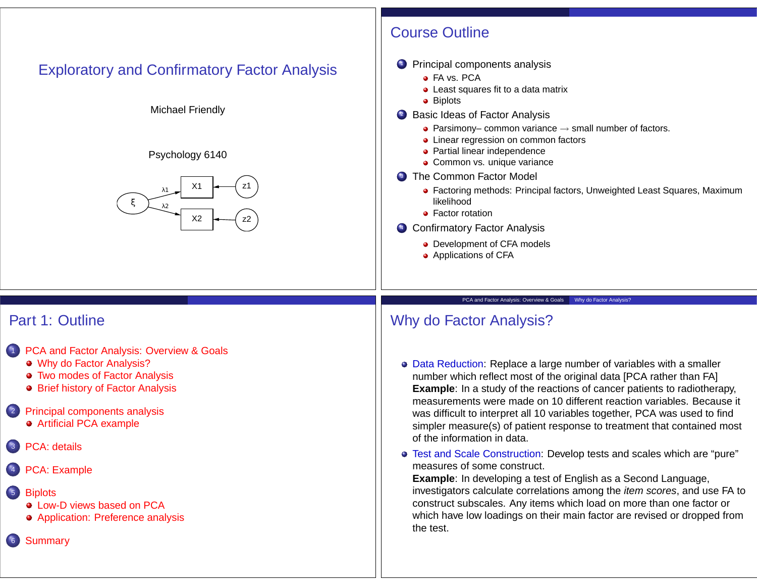# Exploratory and Confirmatory Factor Analysis

## Michael Friendly

### Psychology 6140



# Course Outline

- **1** Principal components analysis
	- **o** FA vs. PCA
	- Least squares fit to a data matrix
	- Biplots
- 2 Basic Ideas of Factor Analysis
	- Parsimony– common variance  $\rightarrow$  small number of factors.
	- Linear regression on common factors
	- **Partial linear independence**
	- **Common vs. unique variance**
- **3** The Common Factor Model
	- Factoring methods: Principal factors, Unweighted Least Squares, Maximum likelihood
	- **•** Factor rotation
- <sup>4</sup> Confirmatory Factor Analysis
	- Development of CFA models
	- Applications of CFA

# Part 1: Outline

- 1 PCA and Factor Analysis: Overview & Goals
	- Why do Factor Analysis?
	- Two modes of Factor Analysis
	- **Brief history of Factor Analysis**
- 2 Principal components analysis Artificial PCA example
- PCA: details
- PCA: Example
- 5 Biplots
	- **.** Low-D views based on PCA
	- Application: Preference analysis

6 Summary

### PCA and Factor Analysis: Overview & Goals Why do Factor Analysis?

# Why do Factor Analysis?

- Data Reduction: Replace a large number of variables with a smaller number which reflect most of the original data [PCA rather than FA] **Example:** In a study of the reactions of cancer patients to radiotherapy, measurements were made on 10 different reaction variables. Because it was difficult to interpret all 10 variables together, PCA was used to find simpler measure(s) of patient response to treatment that contained most of the information in data.
- Test and Scale Construction: Develop tests and scales which are "pure" measures of some construct.

**Example**: In developing a test of English as a Second Language, investigators calculate correlations among the item scores, and use FA to construct subscales. Any items which load on more than one factor or which have low loadings on their main factor are revised or dropped from the test.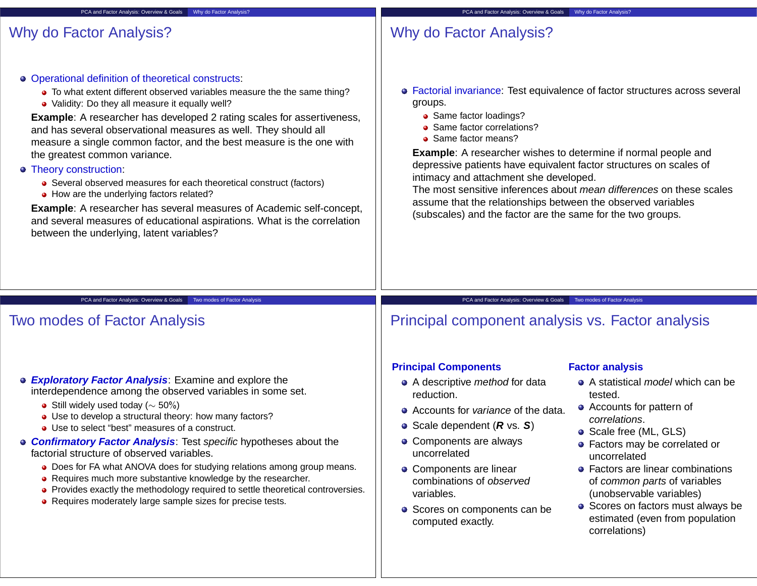## Why do Factor Analysis?

# Why do Factor Analysis?

Operational definition of theoretical constructs:

PCA and Factor Analysis: Overview & Goals Why do Factor Analysis?

- To what extent different observed variables measure the the same thing?
- Validity: Do they all measure it equally well?

**Example**: A researcher has developed 2 rating scales for assertiveness, and has several observational measures as well. They should all measure a single common factor, and the best measure is the one with the greatest common variance.

### Theory construction:

- Several observed measures for each theoretical construct (factors)
- How are the underlying factors related?

**Example**: A researcher has several measures of Academic self-concept, and several measures of educational aspirations. What is the correlation between the underlying, latent variables?

- Factorial invariance: Test equivalence of factor structures across several groups.
	- Same factor loadings?
	- Same factor correlations?
	- Same factor means?

**Example**: A researcher wishes to determine if normal people and depressive patients have equivalent factor structures on scales of intimacy and attachment she developed.

The most sensitive inferences about mean differences on these scales assume that the relationships between the observed variables (subscales) and the factor are the same for the two groups.

PCA and Factor Analysis: Overview & Goals Two modes of Factor Analysis

## Two modes of Factor Analysis

- **Exploratory Factor Analysis**: Examine and explore the interdependence among the observed variables in some set.
	- $\bullet$  Still widely used today ( $\sim$  50%)
	- Use to develop a structural theory: how many factors?
	- Use to select "best" measures of a construct.
- **Confirmatory Factor Analysis**: Test specific hypotheses about the factorial structure of observed variables.
	- Does for FA what ANOVA does for studying relations among group means.
	- Requires much more substantive knowledge by the researcher.
	- Provides exactly the methodology required to settle theoretical controversies.
	- Requires moderately large sample sizes for precise tests.

## PCA and Factor Analysis: Overview & Goals Two modes of Factor Analysis Principal component analysis vs. Factor analysis

## **Principal Components**

- A descriptive method for data reduction.
- Accounts for variance of the data.
- Scale dependent (**R** vs. **S**)
- Components are always uncorrelated
- Components are linear combinations of observed variables.
- Scores on components can be computed exactly.

### **Factor analysis**

- A statistical *model* which can be tested.
- Accounts for pattern of correlations.
- Scale free (ML, GLS)
- Factors may be correlated or uncorrelated
- **•** Factors are linear combinations of common parts of variables (unobservable variables)
- Scores on factors must always be estimated (even from population correlations)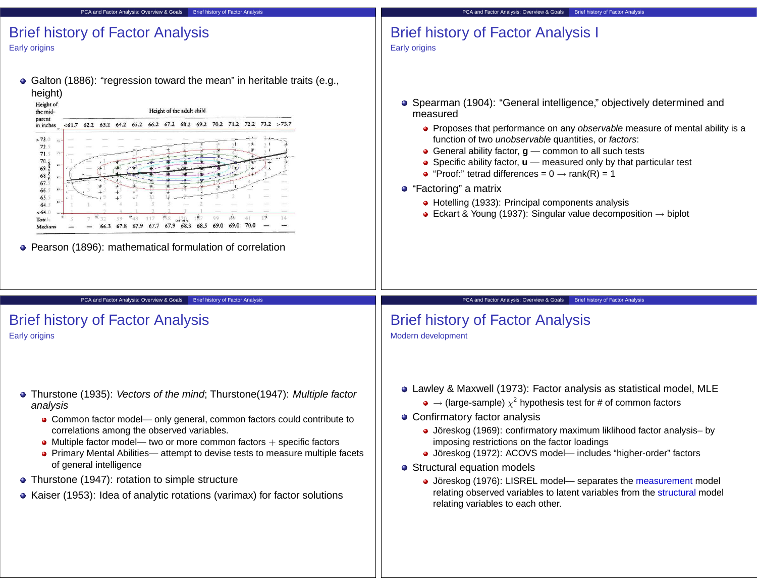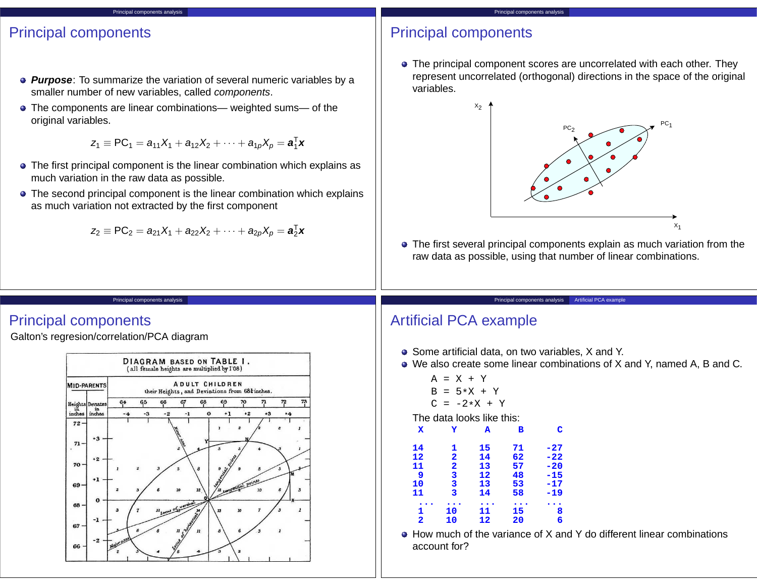## Principal components

- **Purpose**: To summarize the variation of several numeric variables by a smaller number of new variables, called components.
- The components are linear combinations— weighted sums— of the original variables.

Principal components analysis

$$
z_1 \equiv PC_1 = a_{11}X_1 + a_{12}X_2 + \cdots + a_{1p}X_p = \mathbf{a}_1^T \mathbf{x}
$$

- The first principal component is the linear combination which explains as much variation in the raw data as possible.
- The second principal component is the linear combination which explains as much variation not extracted by the first component

$$
z_2\equiv PC_2=a_{21}X_1+a_{22}X_2+\cdots+a_{2p}X_p=\textbf{a}_2^T\textbf{x}
$$

## Principal components

• The principal component scores are uncorrelated with each other. They represent uncorrelated (orthogonal) directions in the space of the original variables.



The first several principal components explain as much variation from the raw data as possible, using that number of linear combinations.

Principal components analysis Artificial PCA example

#### Principal components analysis

## Principal components

Galton's regresion/correlation/PCA diagram



# Artificial PCA example

- Some artificial data, on two variables, X and Y.
- We also create some linear combinations of X and Y, named A, B and C.

$$
A = X + Y
$$
\n
$$
B = 5*X + Y
$$
\n
$$
C = -2*X + Y
$$
\nThe data looks like this:\n
$$
X \t Y \t A \t B \t C
$$
\n
$$
14 \t 1 \t 15 \t 71 \t -27
$$
\n
$$
12 \t 2 \t 14 \t 62 \t -22
$$
\n
$$
13 \t 57 \t -20
$$
\n
$$
9 \t 3 \t 12 \t 48 \t -15
$$
\n
$$
10 \t 3 \t 13 \t 53 \t -17
$$
\n
$$
11 \t 3 \t 14 \t 58 \t -19
$$
\n
$$
...
$$
\n
$$
1 \t 10 \t 11 \t 15 \t 8
$$
\n
$$
2 \t 10 \t 12 \t 20 \t 6
$$

How much of the variance of X and Y do different linear combinations account for?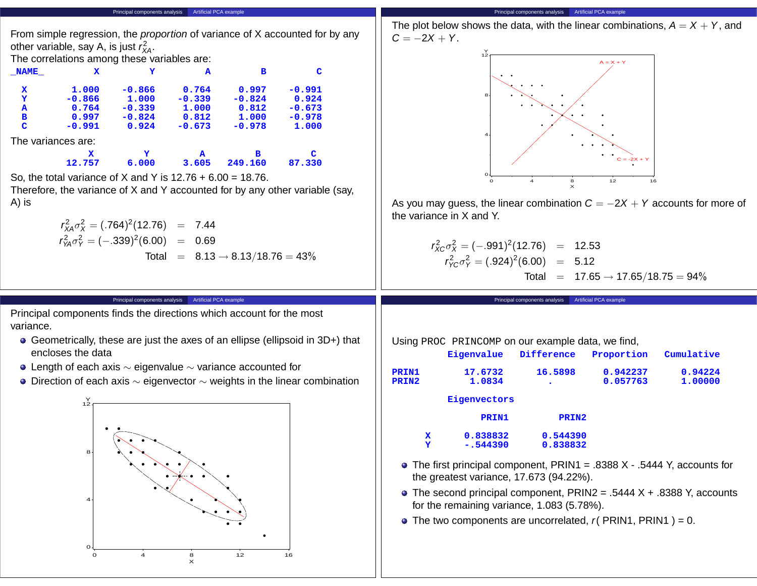| From simple regression, the <i>proportion</i> of variance of X accounted for by any<br>other variable, say A, is just $r_{\text{XA}}^2$ .<br>The correlations among these variables are:<br>$\mathbf{x}$<br>Y<br>C<br>$\sqrt{\text{NAME}}$<br>в<br>A<br>$-0.991$<br>1.000<br>$-0.866$<br>0.764<br>0.997<br>x<br>$-0.866$<br>1.000<br>$-0.339$<br>$-0.824$<br>0.924<br>Y<br>$-0.339$<br>1.000<br>$-0.673$<br>0.764<br>0.812<br>A<br>0.997<br>$-0.824$<br>0.812<br>1.000<br>$-0.978$<br>в<br>0.924<br>$-0.673$<br>$-0.978$<br>C<br>$-0.991$<br>1.000<br>The variances are:<br>x.<br>в<br>C<br>Y<br>$\mathbf{A}$<br>6.000<br>12.757<br>3.605<br>249.160<br>87.330<br>So, the total variance of X and Y is $12.76 + 6.00 = 18.76$ .<br>Therefore, the variance of X and Y accounted for by any other variable (say,<br>A) is<br>$r_{XA}^2 \sigma_X^2 = (.764)^2 (12.76) = 7.44$<br>$r_{\text{YA}}^2 \sigma_{\text{Y}}^2 = (-.339)^2 (6.00) = 0.69$<br>Total = $8.13 \rightarrow 8.13/18.76 = 43\%$ | The plot below shows the data, with the linear combinations, $A = X + Y$ , and<br>$C = -2X + Y$ .<br>$A = X + Y$<br>$C = -2X + Y$<br>12<br>16<br>As you may guess, the linear combination $C = -2X + Y$ accounts for more of<br>the variance in X and Y.<br>$r_{X}^2 c \sigma_X^2 = (-.991)^2 (12.76) = 12.53$<br>$r_{\gamma C}^2 \sigma_Y^2 = (.924)^2 (6.00) = 5.12$<br>Total = $17.65 \rightarrow 17.65/18.75 = 94\%$ |
|------------------------------------------------------------------------------------------------------------------------------------------------------------------------------------------------------------------------------------------------------------------------------------------------------------------------------------------------------------------------------------------------------------------------------------------------------------------------------------------------------------------------------------------------------------------------------------------------------------------------------------------------------------------------------------------------------------------------------------------------------------------------------------------------------------------------------------------------------------------------------------------------------------------------------------------------------------------------------------------------|--------------------------------------------------------------------------------------------------------------------------------------------------------------------------------------------------------------------------------------------------------------------------------------------------------------------------------------------------------------------------------------------------------------------------|
|                                                                                                                                                                                                                                                                                                                                                                                                                                                                                                                                                                                                                                                                                                                                                                                                                                                                                                                                                                                                |                                                                                                                                                                                                                                                                                                                                                                                                                          |
| Principal components analysis Artificial PCA example                                                                                                                                                                                                                                                                                                                                                                                                                                                                                                                                                                                                                                                                                                                                                                                                                                                                                                                                           | Principal components analysis Artificial PCA example                                                                                                                                                                                                                                                                                                                                                                     |
| Principal components finds the directions which account for the most<br>variance.<br>• Geometrically, these are just the axes of an ellipse (ellipsoid in 3D+) that<br>encloses the data<br>• Length of each axis $\sim$ eigenvalue $\sim$ variance accounted for<br>• Direction of each axis $\sim$ eigenvector $\sim$ weights in the linear combination                                                                                                                                                                                                                                                                                                                                                                                                                                                                                                                                                                                                                                      | Using PROC PRINCOMP on our example data, we find,<br>Difference<br>Eigenvalue<br>Proportion<br>Cumulative<br>17.6732<br>16.5898<br>0.942237<br>0.94224<br><b>PRIN1</b><br>1.0834<br>0.057763<br>PRIN2<br>1.00000<br>Eigenvectors                                                                                                                                                                                         |

**Principal components analysis** Artificial PCA example

Principal components analysis Artificial PCA example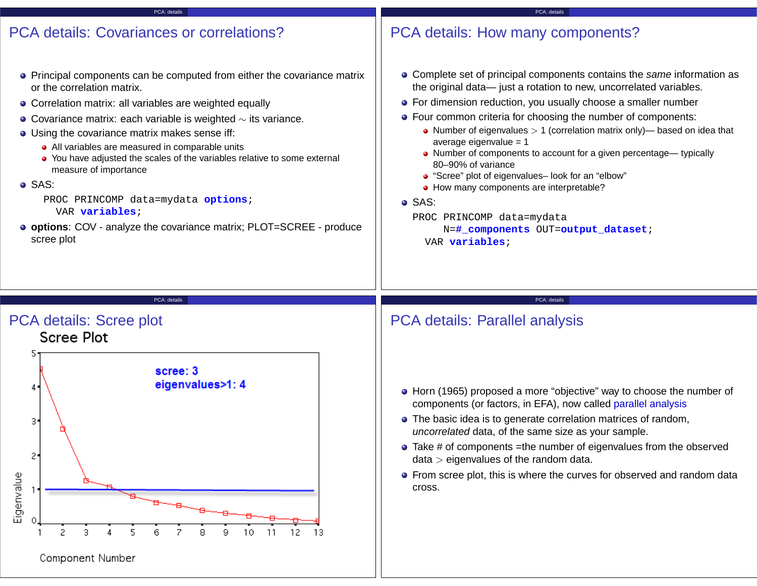### PCA: details

## PCA details: Covariances or correlations?

- Principal components can be computed from either the covariance matrix or the correlation matrix.
- Correlation matrix: all variables are weighted equally
- Covariance matrix: each variable is weighted ∼ its variance.
- Using the covariance matrix makes sense iff:
	- All variables are measured in comparable units
	- You have adjusted the scales of the variables relative to some external measure of importance
- o SAS<sup>.</sup>

PROC PRINCOMP data=mydata **options**; VAR **variables**;

**options**: COV - analyze the covariance matrix; PLOT=SCREE - produce scree plot

# PCA details: How many components?

- Complete set of principal components contains the same information as the original data— just a rotation to new, uncorrelated variables.
- **•** For dimension reduction, you usually choose a smaller number

PCA: details

- Four common criteria for choosing the number of components:
	- Number of eigenvalues  $> 1$  (correlation matrix only)— based on idea that average eigenvalue = 1
	- Number of components to account for a given percentage— typically 80–90% of variance
	- "Scree" plot of eigenvalues– look for an "elbow"
	- How many components are interpretable?

### SAS:

PROC PRINCOMP data=mydata N=**#\_components** OUT=**output\_dataset**;

VAR **variables**;

PCA: details PCA details: Scree plot



# PCA details: Parallel analysis

- Horn (1965) proposed a more "objective" way to choose the number of components (or factors, in EFA), now called parallel analysis
- The basic idea is to generate correlation matrices of random, uncorrelated data, of the same size as your sample.

PCA: details

- Take # of components =the number of eigenvalues from the observed  $data > eigenvvalues$  of the random data.
- **•** From scree plot, this is where the curves for observed and random data cross.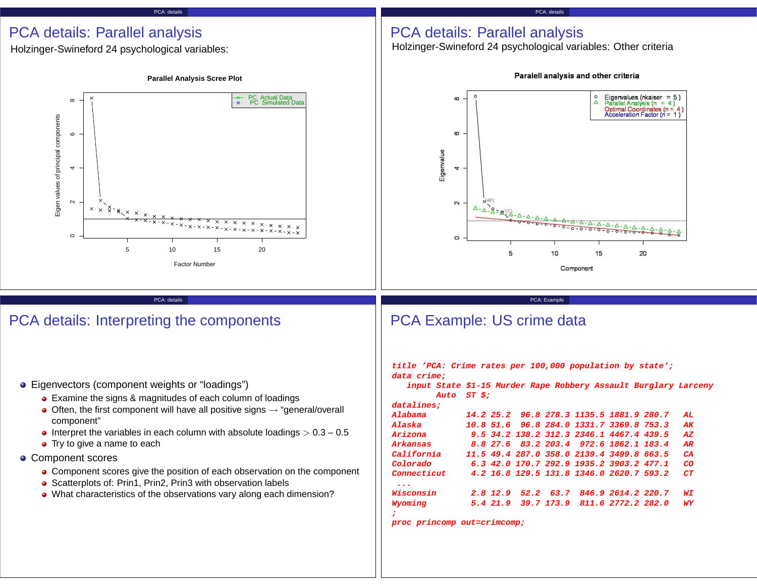#### PCA: details

## PCA details: Parallel analysis

Holzinger-Swineford 24 psychological variables:



## PCA details: Interpreting the components

- Eigenvectors (component weights or "loadings")
	- Examine the signs & magnitudes of each column of loadings
	- $\bullet$  Often, the first component will have all positive signs  $\rightarrow$  "general/overall component"
	- Interpret the variables in each column with absolute loadings  $> 0.3 0.5$
	- Try to give a name to each
- Component scores
	- Component scores give the position of each observation on the component
	- Scatterplots of: Prin1, Prin2, Prin3 with observation labels
	- What characteristics of the observations vary along each dimension?

Paralell analysis and other criteria

## PCA details: Parallel analysis

Holzinger-Swineford 24 psychological variables: Other criteria



**proc princomp out=crimcomp;**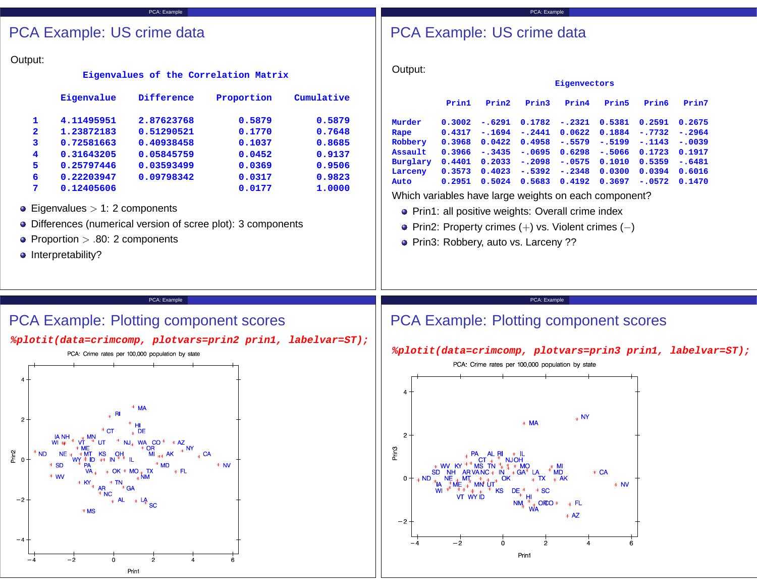### PCA: Example

# PCA Example: US crime data

|                                       |                                                                                                                                                                                                                 | <b>PCA Example: US crime data</b>                                                              |                                                                                                                                                                                            |                                                                                  | <b>PCA Example: US crime data</b>                                                                                                       |                                                                                                                                                                                                                                       |                                                                                   |                                                                           |                                                                                                                         |                                                                       |                                                                       |                                                                                              |  |
|---------------------------------------|-----------------------------------------------------------------------------------------------------------------------------------------------------------------------------------------------------------------|------------------------------------------------------------------------------------------------|--------------------------------------------------------------------------------------------------------------------------------------------------------------------------------------------|----------------------------------------------------------------------------------|-----------------------------------------------------------------------------------------------------------------------------------------|---------------------------------------------------------------------------------------------------------------------------------------------------------------------------------------------------------------------------------------|-----------------------------------------------------------------------------------|---------------------------------------------------------------------------|-------------------------------------------------------------------------------------------------------------------------|-----------------------------------------------------------------------|-----------------------------------------------------------------------|----------------------------------------------------------------------------------------------|--|
| Output:<br>1<br>2<br>з<br>5<br>6<br>7 | Eigenvalue<br>4.11495951<br>1.23872183<br>0.72581663<br>0.31643205<br>0.25797446<br>0.22203947<br>0.12405606<br>• Eigenvalues $> 1: 2$ components<br>• Proportion $> .80$ : 2 components<br>• Interpretability? | Difference<br>2.87623768<br>0.51290521<br>0.40938458<br>0.05845759<br>0.03593499<br>0.09798342 | Eigenvalues of the Correlation Matrix<br>Proportion<br>0.5879<br>0.1770<br>0.1037<br>0.0452<br>0.0369<br>0.0317<br>0.0177<br>• Differences (numerical version of scree plot): 3 components | Cumulative<br>0.5879<br>0.7648<br>0.8685<br>0.9137<br>0.9506<br>0.9823<br>1.0000 | Output:<br>Murder<br>Rape<br>Robbery<br>Assault<br>Burglary<br>Larceny<br>Auto<br>Which variables have large weights on each component? | Prin1<br>0.3002<br>0.4317<br>0.3968<br>0.3966<br>0.4401<br>0.3573<br>0.2951<br>• Prin1: all positive weights: Overall crime index<br>• Prin2: Property crimes $(+)$ vs. Violent crimes $(-)$<br>• Prin3: Robbery, auto vs. Larceny ?? | Prin2<br>$-.6291$<br>$-.1694$<br>0.0422<br>$-.3435$<br>0.2033<br>0.4023<br>0.5024 | Prin3<br>0.1782<br>$-.2441$<br>0.4958<br>$-.0695$<br>$-.2098$<br>$-.5392$ | Eigenvectors<br>Prin4<br>$-.2321$<br>0.0622<br>$-.5579$<br>0.6298<br>$-.0575$<br>$-.2348$<br>$0.5683$ $0.4192$ $0.3697$ | Prin5<br>0.5381<br>0.1884<br>$-.5199$<br>$-.5066$<br>0.1010<br>0.0300 | Prin6<br>0.2591<br>$-.7732$<br>$-.1143$<br>0.1723<br>0.5359<br>0.0394 | Prin7<br>0.2675<br>$-.2964$<br>$-.0039$<br>0.1917<br>$-.6481$<br>0.6016<br>$-.0572 \t0.1470$ |  |
|                                       |                                                                                                                                                                                                                 | PCA: Example                                                                                   |                                                                                                                                                                                            |                                                                                  |                                                                                                                                         |                                                                                                                                                                                                                                       |                                                                                   | PCA: Example                                                              |                                                                                                                         |                                                                       |                                                                       |                                                                                              |  |
|                                       |                                                                                                                                                                                                                 |                                                                                                | <b>PCA Example: Plotting component scores</b>                                                                                                                                              |                                                                                  | <b>PCA Example: Plotting component scores</b>                                                                                           |                                                                                                                                                                                                                                       |                                                                                   |                                                                           |                                                                                                                         |                                                                       |                                                                       |                                                                                              |  |
|                                       |                                                                                                                                                                                                                 | PCA. Crime rates per 100,000 population by state                                               |                                                                                                                                                                                            | %plotit(data=crimcomp, plotvars=prin2 prin1, labelvar=ST);                       |                                                                                                                                         |                                                                                                                                                                                                                                       |                                                                                   |                                                                           |                                                                                                                         |                                                                       |                                                                       | %plotit(data=crimcomp, plotvars=prin3 prin1, labelvar=ST);                                   |  |



#### PCA: Crime rates per 100,000 population by state  $_{\rm *}$  NY  $*$  MA  $2 -$ Prin3  $\underset{\text{NJOH}}{\ast}$  $AL$   $\mathbb{R}^1$  $* W$ <br>SD NI ΤN \* MO  $*M$ MD  $X^*$  MD<br> $*$  TX  $*$  AK  $***CA**$ GA<sup>\*</sup>  $0 *$  NV **MN UT**  $DE^*_{*}$ <br> $NM_*^*$ **KS**  $*$  SC  $\overrightarrow{v}$  with  $\frac{H}{\sqrt{k}}$  ORO \* \* FL<br>
WA  $*$  AZ  $-2$  $-\frac{1}{2}$  $\dot{\mathbf{0}}$  $-4$  $\overline{2}$  $\ddot{4}$  $6^{\circ}$ Prin1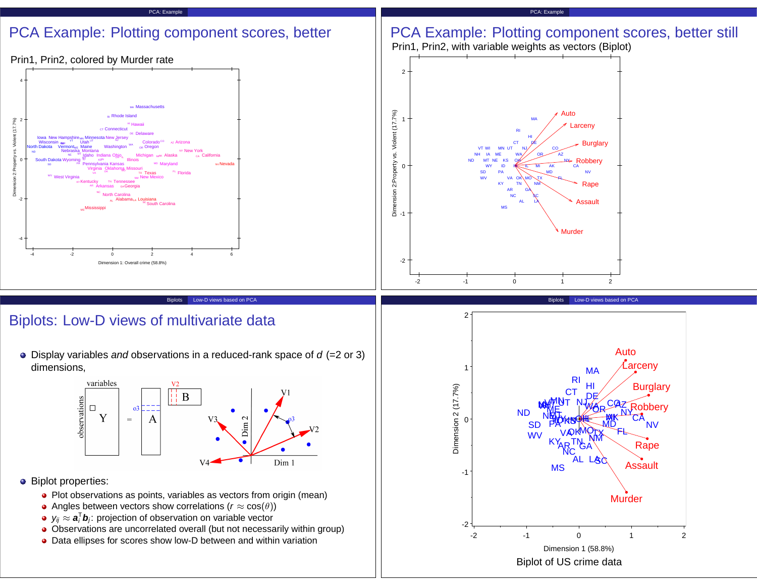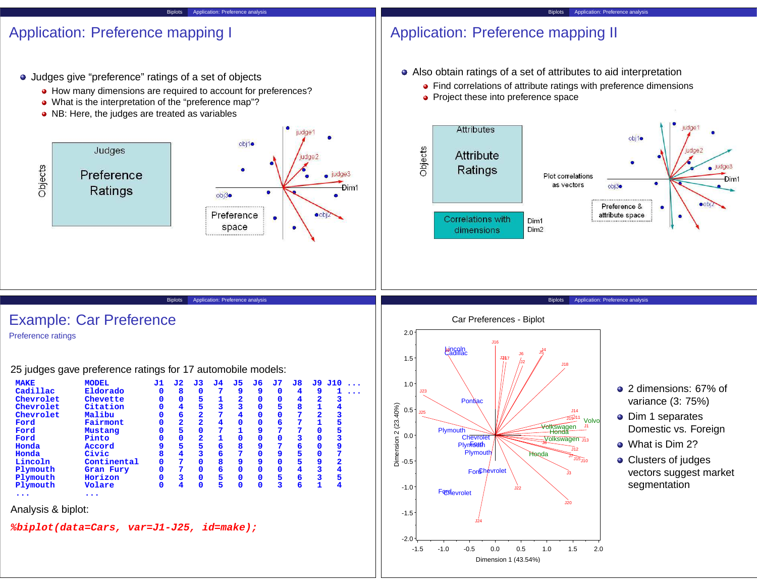#### Biplots Application: Preference analysis

## Application: Preference mapping I

- Judges give "preference" ratings of a set of objects
	- $\bullet$  How many dimensions are required to account for preferences?
	- What is the interpretation of the "preference map"?
	- NB: Here, the judges are treated as variables



Biplots Application: Preference analysis

# Application: Preference mapping II

Also obtain ratings of a set of attributes to aid interpretation

- Find correlations of attribute ratings with preference dimensions
- Project these into preference space



Biplots Application: Preference analysis

Example: Car Preference

Preference ratings

25 judges gave preference ratings for 17 automobile models:

| <b>MAKE</b> | <b>MODEL</b> | J1 | J2.                     | J3                      | J4 | J5                      | J6          | J7                      | J8 |                         | J9 J10                  |
|-------------|--------------|----|-------------------------|-------------------------|----|-------------------------|-------------|-------------------------|----|-------------------------|-------------------------|
| Cadillac    | Eldorado     | 0  | 8                       | $\Omega$                | 7  | 9                       | 9           | $\mathbf 0$             | 4  | 9                       |                         |
| Chevrolet   | Chevette     |    | 0                       | 5                       |    | $\overline{\mathbf{2}}$ | 0           | $\mathbf 0$             | 4  | $\overline{\mathbf{2}}$ | 3                       |
| Chevrolet   | Citation     |    | 4                       | 5                       | 3  | 3                       | $\Omega$    | 5                       | 8  | 1                       | 4                       |
| Chevrolet   | Malibu       |    | 6                       | $\overline{\mathbf{2}}$ | 7  | 4                       | $\Omega$    | $\mathbf 0$             | 7  | $\overline{\mathbf{2}}$ | 3                       |
| Ford        | Fairmont     |    | $\overline{\mathbf{2}}$ | $\overline{\mathbf{2}}$ | 4  | $\mathbf 0$             | $\Omega$    | 6                       | 7  |                         | 5                       |
| Ford        | Mustang      |    | 5                       | $\Omega$                | 7  |                         | 9           | 7                       | 7  | $\Omega$                | 5                       |
| Ford        | Pinto        |    | $\Omega$                | $\overline{2}$          |    | $\mathbf 0$             | $\Omega$    | $\mathbf 0$             | 3  | $\Omega$                | 3                       |
| Honda       | Accord       |    | 5                       | 5                       | 6  | 8                       | 9           | 7                       | 6  | $\Omega$                | 9                       |
| Honda       | Civic        | 8  | 4                       | 3                       | 6  | 7                       | $\Omega$    | 9                       | 5  | $\Omega$                | 7                       |
| Lincoln     | Continental  | 0  | 7                       | n                       | 8  | 9                       | 9           | $\mathbf 0$             | 5  | 9                       | $\overline{\mathbf{2}}$ |
| Plymouth    | Gran Fury    | 0  | 7                       | n                       | 6  | $\Omega$                | $\Omega$    | $\Omega$                | 4  | 3                       | 4                       |
| Plymouth    | Horizon      |    | 3                       |                         | 5  | 0                       | $\mathbf 0$ | 5                       | 6  | 3                       | 5                       |
| Plymouth    | Volare       | O  | 4                       | $\mathbf 0$             | 5  | $\mathbf 0$             | $\mathbf 0$ | $\overline{\mathbf{3}}$ | 6  | 1                       | 4                       |
|             | .            |    |                         |                         |    |                         |             |                         |    |                         |                         |

Analysis & biplot:

**%biplot(data=Cars, var=J1-J25, id=make);**



- 2 dimensions: 67% of variance (3: 75%)
- **•** Dim 1 separates Domestic vs. Foreign
- What is Dim 2?
- Clusters of judges vectors suggest market segmentation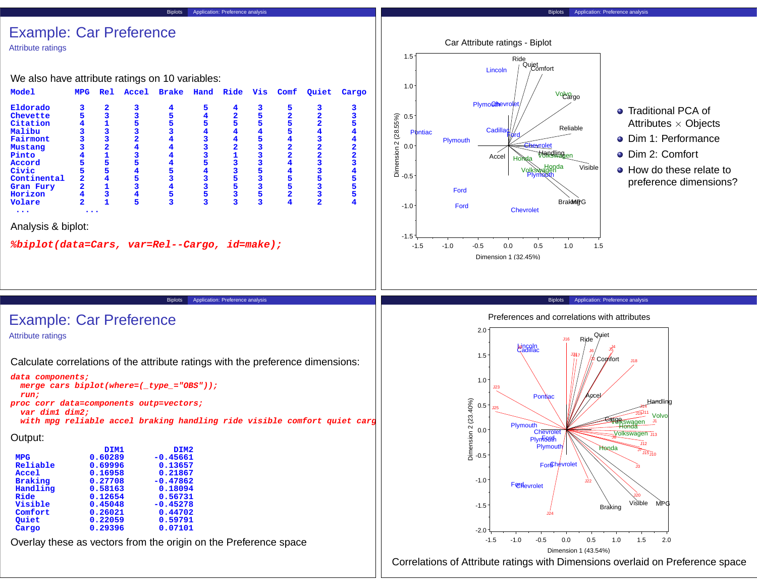#### Biplots Application: Preference analysis

## Example: Car Preference

Attribute ratings

We also have attribute ratings on 10 variables:

| <b>Model</b>                                 | <b>MPG</b>              | <b>Rel</b>              | Accel | <b>Brake</b> | Hand | Ride                    | Vis | Comf                    | Quiet                   | Cargo |
|----------------------------------------------|-------------------------|-------------------------|-------|--------------|------|-------------------------|-----|-------------------------|-------------------------|-------|
| Eldorado                                     | З                       | 2                       | 3     |              | 5    | 4                       | 3   | 5                       | 3                       |       |
| Chevette                                     | 5                       | 3                       | 3     | 5            | 4    | $\overline{\mathbf{2}}$ | 5   | $\overline{\mathbf{2}}$ | 2                       |       |
| Citation                                     | 4                       |                         | 5     | 5            | 5    | 5                       | 5   | 5                       | 2                       | 5     |
| Malibu                                       | 3                       |                         | з     |              | 4    | 4                       | 4   | 5                       | 4                       |       |
| Fairmont                                     | 3                       | 3                       | 2     |              | 3    | 4                       | 5   | 4                       | 3                       |       |
| Mustang                                      | 3                       | $\overline{\mathbf{2}}$ | 4     |              | 3    | $\overline{\mathbf{2}}$ | 3   | $\overline{2}$          | $\overline{\mathbf{2}}$ | 2     |
| Pinto                                        | 4                       | 1                       | 3     |              | 3    | 1                       | 3   | $\overline{2}$          | 2                       |       |
| Accord                                       | 5                       | 5                       | 5     | 4            | 5    | 3                       | 3   | 4                       | 3                       |       |
| Civic                                        | 5                       | 5                       | 4     | 5            | 4    | 3                       | 5   | 4                       | 3                       |       |
| Continental                                  | $\overline{\mathbf{2}}$ | 4                       | 5     | 3            | 3    | 5                       | 3   | 5                       | 5                       | 5     |
| Gran Fury                                    | $\overline{a}$          | 1                       | 3     | 4            | 3    | 5                       | 3   | 5                       | 3                       | 5     |
| Horizon                                      | $\overline{\mathbf{4}}$ | 3                       | 4     | 5            | 5    | 3                       | 5   | $\overline{\mathbf{2}}$ |                         | 5     |
| Volare                                       | $\overline{2}$          | 1                       | 5     | 3            | 3    | 3                       | 3   | 4                       | 2                       |       |
|                                              |                         |                         |       |              |      |                         |     |                         |                         |       |
| Analysis & biplot:                           |                         |                         |       |              |      |                         |     |                         |                         |       |
| %biplot(data=Cars, var=Rel--Cargo, id=make); |                         |                         |       |              |      |                         |     |                         |                         |       |



- **•** Traditional PCA of Attributes  $\times$  Objects
- **O** Dim 1: Performance
- Dim 2: Comfort
- How do these relate to preference dimensions?

#### Biplots Application: Preference analysis

Preferences and correlations with attributes



Correlations of Attribute ratings with Dimensions overlaid on Preference space

Example: Car Preference

Attribute ratings

Calculate correlations of the attribute ratings with the preference dimensions:

```
data components;
```

```
merge cars biplot(where=(_type_="OBS"));
run;
```
**proc corr data=components outp=vectors; var dim1 dim2;**

**with mpg reliable accel braking handling ride visible comfort quiet cargo;**

Biplots Application: Preference analysis

```
Output:
```

|                | DIM1    | DIM <sub>2</sub> |
|----------------|---------|------------------|
|                |         |                  |
| <b>MPG</b>     | 0.60289 | $-0.45661$       |
| Reliable       | 0.69996 | 0.13657          |
| Accel          | 0.16958 | 0.21867          |
| <b>Braking</b> | 0.27708 | $-0.47862$       |
| Handling       | 0.58163 | 0.18094          |
| Ride           | 0.12654 | 0.56731          |
| Visible        | 0.45048 | $-0.45278$       |
| Comfort        | 0.26021 | 0.44702          |
| Ouiet          | 0.22059 | 0.59791          |
| Cargo          | 0.29396 | 0.07101          |

Overlay these as vectors from the origin on the Preference space